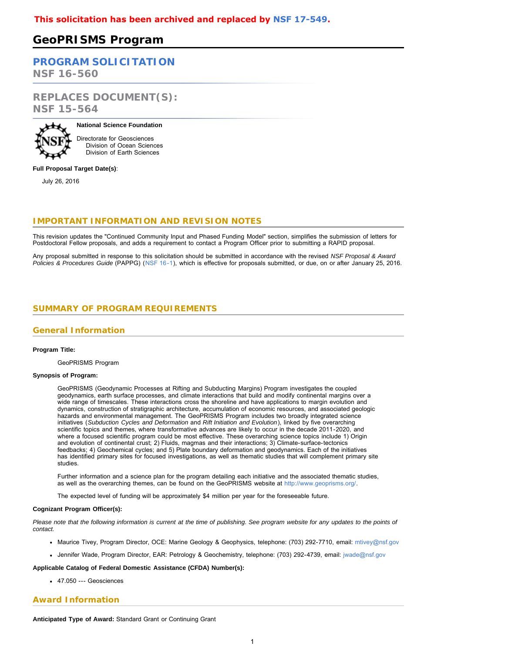# **GeoPRISMS Program**

# **[PROGRAM SOLICITATION](#page-2-0)**

**NSF 16-560**

**REPLACES DOCUMENT(S): NSF 15-564**



**National Science Foundation** Directorate for Geosciences Division of Ocean Sciences Division of Earth Sciences

**Full Proposal Target Date(s)**:

July 26, 2016

## **IMPORTANT INFORMATION AND REVISION NOTES**

This revision updates the "Continued Community Input and Phased Funding Model" section, simplifies the submission of letters for Postdoctoral Fellow proposals, and adds a requirement to contact a Program Officer prior to submitting a RAPID proposal.

<span id="page-0-0"></span>Any proposal submitted in response to this solicitation should be submitted in accordance with the revised *NSF Proposal & Award Policies & Procedures Guide* (PAPPG) ([NSF 16-1](http://www.nsf.gov/publications/pub_summ.jsp?ods_key=nsf16001)), which is effective for proposals submitted, or due, on or after January 25, 2016.

## **SUMMARY OF PROGRAM REQUIREMENTS**

## **General Information**

### **Program Title:**

GeoPRISMS Program

#### **Synopsis of Program:**

GeoPRISMS (Geodynamic Processes at Rifting and Subducting Margins) Program investigates the coupled geodynamics, earth surface processes, and climate interactions that build and modify continental margins over a wide range of timescales. These interactions cross the shoreline and have applications to margin evolution and dynamics, construction of stratigraphic architecture, accumulation of economic resources, and associated geologic hazards and environmental management. The GeoPRISMS Program includes two broadly integrated science initiatives (*Subduction Cycles and Deformation* and *Rift Initiation and Evolution*), linked by five overarching scientific topics and themes, where transformative advances are likely to occur in the decade 2011-2020, and where a focused scientific program could be most effective. These overarching science topics include 1) Origin and evolution of continental crust; 2) Fluids, magmas and their interactions; 3) Climate-surface-tectonics feedbacks; 4) Geochemical cycles; and 5) Plate boundary deformation and geodynamics. Each of the initiatives has identified primary sites for focused investigations, as well as thematic studies that will complement primary site studies.

Further information and a science plan for the program detailing each initiative and the associated thematic studies, as well as the overarching themes, can be found on the GeoPRISMS website at [http://www.geoprisms.org/](https://www.nsf.gov/cgi-bin/goodbye?http://www.geoprisms.org/).

The expected level of funding will be approximately \$4 million per year for the foreseeable future.

### **Cognizant Program Officer(s):**

*Please note that the following information is current at the time of publishing. See program website for any updates to the points of contact.*

- Maurice Tivey, Program Director, OCE: Marine Geology & Geophysics, telephone: (703) 292-7710, email: [mtivey@nsf.gov](mailto:mtivey@nsf.gov)
- Jennifer Wade, Program Director, EAR: Petrology & Geochemistry, telephone: (703) 292-4739, email: [jwade@nsf.gov](mailto:jwade@nsf.gov)

### **Applicable Catalog of Federal Domestic Assistance (CFDA) Number(s):**

47.050 --- Geosciences

### **Award Information**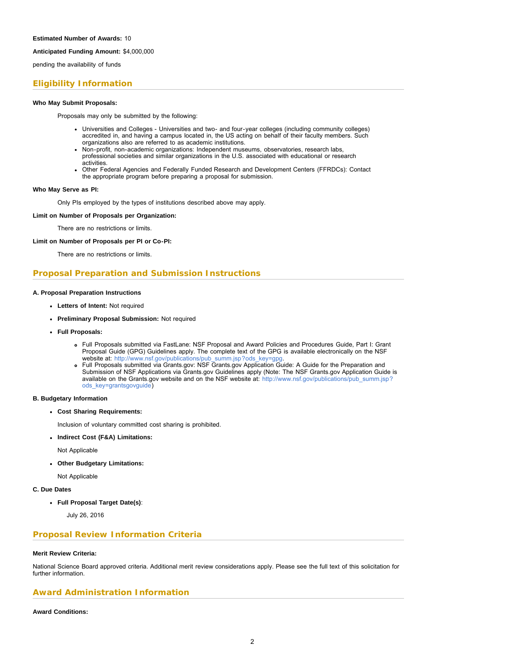### **Anticipated Funding Amount:** \$4,000,000

pending the availability of funds

## **Eligibility Information**

### **Who May Submit Proposals:**

Proposals may only be submitted by the following:

- Universities and Colleges Universities and two- and four-year colleges (including community colleges) accredited in, and having a campus located in, the US acting on behalf of their faculty members. Such organizations also are referred to as academic institutions.
- Non-profit, non-academic organizations: Independent museums, observatories, research labs, professional societies and similar organizations in the U.S. associated with educational or research activities.
- Other Federal Agencies and Federally Funded Research and Development Centers (FFRDCs): Contact the appropriate program before preparing a proposal for submission.

### **Who May Serve as PI:**

Only PIs employed by the types of institutions described above may apply.

**Limit on Number of Proposals per Organization:**

There are no restrictions or limits.

### **Limit on Number of Proposals per PI or Co-PI:**

There are no restrictions or limits.

## **Proposal Preparation and Submission Instructions**

### **A. Proposal Preparation Instructions**

- **Letters of Intent:** Not required
- **Preliminary Proposal Submission:** Not required
- **Full Proposals:**
	- Full Proposals submitted via FastLane: NSF Proposal and Award Policies and Procedures Guide, Part I: Grant Proposal Guide (GPG) Guidelines apply. The complete text of the GPG is available electronically on the NSF website at: [http://www.nsf.gov/publications/pub\\_summ.jsp?ods\\_key=gpg.](http://www.nsf.gov/publications/pub_summ.jsp?ods_key=gpg)
	- Full Proposals submitted via Grants.gov: NSF Grants.gov Application Guide: A Guide for the Preparation and Submission of NSF Applications via Grants.gov Guidelines apply (Note: The NSF Grants.gov Application Guide is available on the Grants.gov website and on the NSF website at: [http://www.nsf.gov/publications/pub\\_summ.jsp?](http://www.nsf.gov/publications/pub_summ.jsp?ods_key=grantsgovguide) [ods\\_key=grantsgovguide\)](http://www.nsf.gov/publications/pub_summ.jsp?ods_key=grantsgovguide)

### **B. Budgetary Information**

**Cost Sharing Requirements:**

Inclusion of voluntary committed cost sharing is prohibited.

**Indirect Cost (F&A) Limitations:**

Not Applicable

**Other Budgetary Limitations:**

Not Applicable

### **C. Due Dates**

**Full Proposal Target Date(s)**:

July 26, 2016

### **Proposal Review Information Criteria**

### **Merit Review Criteria:**

National Science Board approved criteria. Additional merit review considerations apply. Please see the full text of this solicitation for further information.

## **Award Administration Information**

### **Award Conditions:**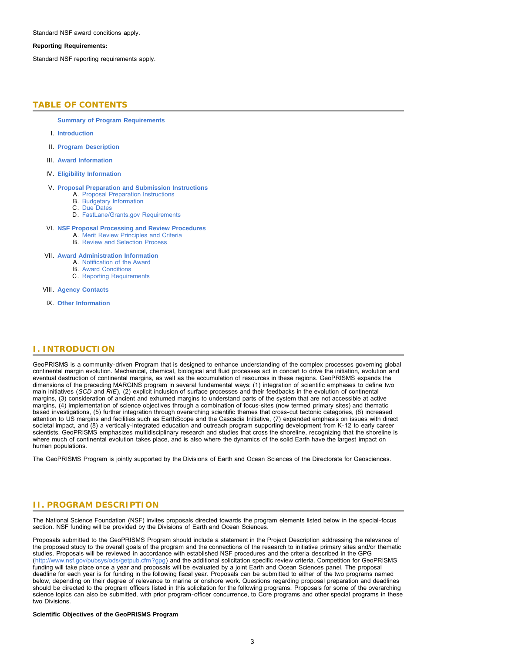Standard NSF award conditions apply.

### **Reporting Requirements:**

<span id="page-2-0"></span>Standard NSF reporting requirements apply.

## **TABLE OF CONTENTS**

**[Summary of Program Requirements](#page-0-0)**

- I. **[Introduction](#page-2-1)**
- II. **[Program Description](#page-2-2)**
- III. **[Award Information](#page-4-0)**
- IV. **[Eligibility Information](#page-4-1)**
- V. **[Proposal Preparation and Submission Instructions](#page-5-0)**
	- A. [Proposal Preparation Instructions](#page-5-0)
	- B. [Budgetary Information](#page-5-1) C. [Due Dates](#page-5-2)
	- D. [FastLane/Grants.gov Requirements](#page-5-3)
	-
- VI. **[NSF Proposal Processing and Review Procedures](#page-6-0)**
	- A. [Merit Review Principles and Criteria](#page-6-1) B. [Review and Selection Process](#page-7-0)
	-
- VII. **[Award Administration Information](#page-8-0)**
	- A. [Notification of the Award](#page-8-1)
	- B. [Award Conditions](#page-8-2) C. [Reporting Requirements](#page-8-3)
- VIII. **[Agency Contacts](#page-8-4)**
- IX. **[Other Information](#page-9-0)**

## <span id="page-2-1"></span>**I. INTRODUCTION**

GeoPRISMS is a community-driven Program that is designed to enhance understanding of the complex processes governing global continental margin evolution. Mechanical, chemical, biological and fluid processes act in concert to drive the initiation, evolution and eventual destruction of continental margins, as well as the accumulation of resources in these regions. GeoPRISMS expands the dimensions of the preceding MARGINS program in several fundamental ways: (1) integration of scientific emphases to define two main initiatives (*SCD* and *RIE*), (2) explicit inclusion of surface processes and their feedbacks in the evolution of continental margins, (3) consideration of ancient and exhumed margins to understand parts of the system that are not accessible at active margins, (4) implementation of science objectives through a combination of focus-sites (now termed primary sites) and thematic based investigations, (5) further integration through overarching scientific themes that cross-cut tectonic categories, (6) increased attention to US margins and facilities such as EarthScope and the Cascadia Initiative, (7) expanded emphasis on issues with direct societal impact, and (8) a vertically-integrated education and outreach program supporting development from K-12 to early career scientists. GeoPRISMS emphasizes multidisciplinary research and studies that cross the shoreline, recognizing that the shoreline is where much of continental evolution takes place, and is also where the dynamics of the solid Earth have the largest impact on human populations.

<span id="page-2-2"></span>The GeoPRISMS Program is jointly supported by the Divisions of Earth and Ocean Sciences of the Directorate for Geosciences.

## **II. PROGRAM DESCRIPTION**

The National Science Foundation (NSF) invites proposals directed towards the program elements listed below in the special-focus section. NSF funding will be provided by the Divisions of Earth and Ocean Sciences.

Proposals submitted to the GeoPRISMS Program should include a statement in the Project Description addressing the relevance of the proposed study to the overall goals of the program and the connections of the research to initiative primary sites and/or thematic studies. Proposals will be reviewed in accordance with established NSF procedures and the criteria described in the GPG (<http://www.nsf.gov/pubsys/ods/getpub.cfm?gpg>) and the additional solicitation specific review criteria. Competition for GeoPRISMS funding will take place once a year and proposals will be evaluated by a joint Earth and Ocean Sciences panel. The proposal deadline for each year is for funding in the following fiscal year. Proposals can be submitted to either of the two programs named below, depending on their degree of relevance to marine or onshore work. Questions regarding proposal preparation and deadlines should be directed to the program officers listed in this solicitation for the following programs. Proposals for some of the overarching science topics can also be submitted, with prior program-officer concurrence, to Core programs and other special programs in these two Divisions.

#### **Scientific Objectives of the GeoPRISMS Program**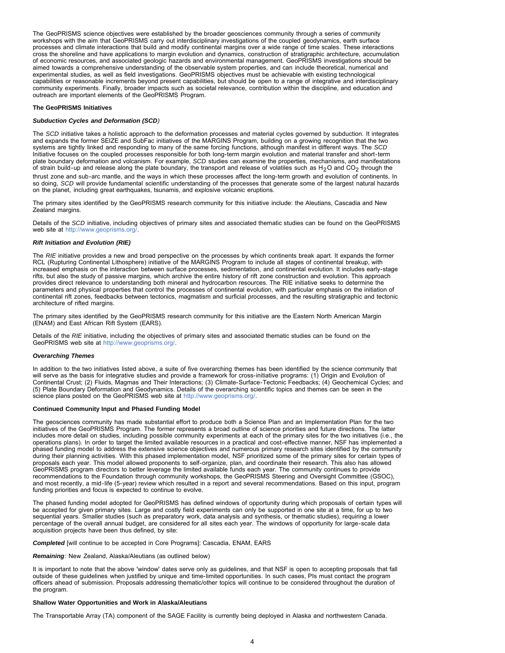The GeoPRISMS science objectives were established by the broader geosciences community through a series of community workshops with the aim that GeoPRISMS carry out interdisciplinary investigations of the coupled geodynamics, earth surface processes and climate interactions that build and modify continental margins over a wide range of time scales. These interactions cross the shoreline and have applications to margin evolution and dynamics, construction of stratigraphic architecture, accumulation of economic resources, and associated geologic hazards and environmental management. GeoPRISMS investigations should be aimed towards a comprehensive understanding of the observable system properties, and can include theoretical, numerical and experimental studies, as well as field investigations. GeoPRISMS objectives must be achievable with existing technological capabilities or reasonable increments beyond present capabilities, but should be open to a range of integrative and interdisciplinary community experiments. Finally, broader impacts such as societal relevance, contribution within the discipline, and education and outreach are important elements of the GeoPRISMS Program.

### **The GeoPRISMS Initiatives**

#### *Subduction Cycles and Deformation (SCD)*

The *SCD* initiative takes a holistic approach to the deformation processes and material cycles governed by subduction. It integrates and expands the former SEIZE and SubFac initiatives of the MARGINS Program, building on a growing recognition that the two systems are tightly linked and responding to many of the same forcing functions, although manifest in different ways. The *SCD* Initiative focuses on the coupled processes responsible for both long-term margin evolution and material transfer and short-term plate boundary deformation and volcanism. For example, *SCD* studies can examine the properties, mechanisms, and manifestations of strain build-up and release along the plate boundary, the transport and release of volatiles such as H<sub>2</sub>O and CO<sub>2</sub> through the thrust zone and sub-arc mantle, and the ways in which these processes affect the long-term growth and evolution of continents. In so doing, *SCD* will provide fundamental scientific understanding of the processes that generate some of the largest natural hazards on the planet, including great earthquakes, tsunamis, and explosive volcanic eruptions.

The primary sites identified by the GeoPRISMS research community for this initiative include: the Aleutians, Cascadia and New Zealand margins.

Details of the *SCD* initiative, including objectives of primary sites and associated thematic studies can be found on the GeoPRISMS web site at [http://www.geoprisms.org/.](https://www.nsf.gov/cgi-bin/goodbye?http://www.geoprisms.org/)

#### *Rift Initiation and Evolution (RIE)*

The *RIE* initiative provides a new and broad perspective on the processes by which continents break apart. It expands the former RCL (Rupturing Continental Lithosphere) initiative of the MARGINS Program to include all stages of continental breakup, with increased emphasis on the interaction between surface processes, sedimentation, and continental evolution. It includes early-stage rifts, but also the study of passive margins, which archive the entire history of rift zone construction and evolution. This approach provides direct relevance to understanding both mineral and hydrocarbon resources. The RIE initiative seeks to determine the parameters and physical properties that control the processes of continental evolution, with particular emphasis on the initiation of continental rift zones, feedbacks between tectonics, magmatism and surficial processes, and the resulting stratigraphic and tectonic architecture of rifted margins.

The primary sites identified by the GeoPRISMS research community for this initiative are the Eastern North American Margin (ENAM) and East African Rift System (EARS).

Details of the *RIE* initiative, including the objectives of primary sites and associated thematic studies can be found on the GeoPRISMS web site at [http://www.geoprisms.org/](https://www.nsf.gov/cgi-bin/goodbye?http://www.geoprisms.org/).

#### *Overarching Themes*

In addition to the two initiatives listed above, a suite of five overarching themes has been identified by the science community that will serve as the basis for integrative studies and provide a framework for cross-initiative programs: (1) Origin and Evolution of Continental Crust; (2) Fluids, Magmas and Their Interactions; (3) Climate-Surface-Tectonic Feedbacks; (4) Geochemical Cycles; and (5) Plate Boundary Deformation and Geodynamics. Details of the overarching scientific topics and themes can be seen in the science plans posted on the GeoPRISMS web site at [http://www.geoprisms.org/.](https://www.nsf.gov/cgi-bin/goodbye?http://www.geoprisms.org/)

#### **Continued Community Input and Phased Funding Model**

The geosciences community has made substantial effort to produce both a Science Plan and an Implementation Plan for the two initiatives of the GeoPRISMS Program. The former represents a broad outline of science priorities and future directions. The latter includes more detail on studies, including possible community experiments at each of the primary sites for the two initiatives (i.e., the operations plans). In order to target the limited available resources in a practical and cost-effective manner, NSF has implemented a phased funding model to address the extensive science objectives and numerous primary research sites identified by the community during their planning activities. With this phased implementation model, NSF prioritized some of the primary sites for certain types of proposals each year. This model allowed proponents to self-organize, plan, and coordinate their research. This also has allowed GeoPRISMS program directors to better leverage the limited available funds each year. The community continues to provide recommendations to the Foundation through community workshops, the GeoPRISMS Steering and Oversight Committee (GSOC), and most recently, a mid-life (5-year) review which resulted in a report and several recommendations. Based on this input, program funding priorities and focus is expected to continue to evolve.

The phased funding model adopted for GeoPRISMS has defined windows of opportunity during which proposals of certain types will be accepted for given primary sites. Large and costly field experiments can only be supported in one site at a time, for up to two sequential years. Smaller studies (such as preparatory work, data analysis and synthesis, or thematic studies), requiring a lower percentage of the overall annual budget, are considered for all sites each year. The windows of opportunity for large-scale data acquisition projects have been thus defined, by site:

*Completed* [will continue to be accepted in Core Programs]: Cascadia, ENAM, EARS

*Remaining*: New Zealand, Alaska/Aleutians (as outlined below)

It is important to note that the above 'window' dates serve only as guidelines, and that NSF is open to accepting proposals that fall outside of these guidelines when justified by unique and time-limited opportunities. In such cases, PIs must contact the program officers ahead of submission. Proposals addressing thematic/other topics will continue to be considered throughout the duration of the program.

### **Shallow Water Opportunities and Work in Alaska/Aleutians**

The Transportable Array (TA) component of the SAGE Facility is currently being deployed in Alaska and northwestern Canada.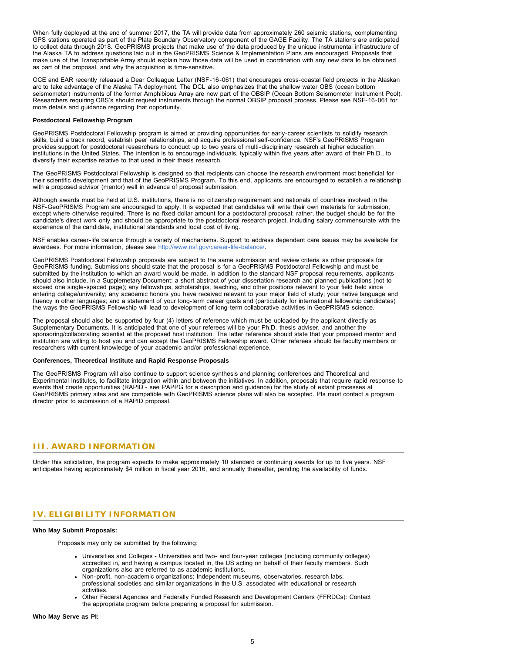When fully deployed at the end of summer 2017, the TA will provide data from approximately 260 seismic stations, complementing GPS stations operated as part of the Plate Boundary Observatory component of the GAGE Facility. The TA stations are anticipated to collect data through 2018. GeoPRISMS projects that make use of the data produced by the unique instrumental infrastructure of the Alaska TA to address questions laid out in the GeoPRISMS Science & Implementation Plans are encouraged. Proposals that make use of the Transportable Array should explain how those data will be used in coordination with any new data to be obtained as part of the proposal, and why the acquisition is time-sensitive.

OCE and EAR recently released a Dear Colleague Letter (NSF-16-061) that encourages cross-coastal field projects in the Alaskan arc to take advantage of the Alaska TA deployment. The DCL also emphasizes that the shallow water OBS (ocean bottom seismometer) instruments of the former Amphibious Array are now part of the OBSIP (Ocean Bottom Seismometer Instrument Pool). Researchers requiring OBS's should request instruments through the normal OBSIP proposal process. Please see NSF-16-061 for more details and guidance regarding that opportunity.

#### **Postdoctoral Fellowship Program**

GeoPRISMS Postdoctoral Fellowship program is aimed at providing opportunities for early-career scientists to solidify research skills, build a track record, establish peer relationships, and acquire professional self-confidence. NSF's GeoPRISMS Program provides support for postdoctoral researchers to conduct up to two years of multi-disciplinary research at higher education institutions in the United States. The intention is to encourage individuals, typically within five years after award of their Ph.D., to diversify their expertise relative to that used in their thesis research.

The GeoPRISMS Postdoctoral Fellowship is designed so that recipients can choose the research environment most beneficial for their scientific development and that of the GeoPRISMS Program. To this end, applicants are encouraged to establish a relationship with a proposed advisor (mentor) well in advance of proposal submission.

Although awards must be held at U.S. institutions, there is no citizenship requirement and nationals of countries involved in the NSF-GeoPRISMS Program are encouraged to apply. It is expected that candidates will write their own materials for submission, except where otherwise required. There is no fixed dollar amount for a postdoctoral proposal; rather, the budget should be for the candidate's direct work only and should be appropriate to the postdoctoral research project, including salary commensurate with the experience of the candidate, institutional standards and local cost of living.

NSF enables career-life balance through a variety of mechanisms. Support to address dependent care issues may be available for awardees. For more information, please see <http://www.nsf.gov/career-life-balance/>.

GeoPRISMS Postdoctoral Fellowship proposals are subject to the same submission and review criteria as other proposals for GeoPRISMS funding. Submissions should state that the proposal is for a GeoPRISMS Postdoctoral Fellowship and must be submitted by the institution to which an award would be made. In addition to the standard NSF proposal requirements, applicants should also include, in a Supplemetary Document: a short abstract of your dissertation research and planned publications (not to exceed one single-spaced page); any fellowships, scholarships, teaching, and other positions relevant to your field held since entering college/university; any academic honors you have received relevant to your major field of study; your native language and fluency in other languages; and a statement of your long-term career goals and (particularly for international fellowship candidates) the ways the GeoPRISMS Fellowship will lead to development of long-term collaborative activities in GeoPRISMS science.

The proposal should also be supported by four (4) letters of reference which must be uploaded by the applicant directly as Supplementary Documents. It is anticipated that one of your referees will be your Ph.D. thesis adviser, and another the sponsoring/collaborating scientist at the proposed host institution. The latter reference should state that your proposed mentor and institution are willing to host you and can accept the GeoPRISMS Fellowship award. Other referees should be faculty members or researchers with current knowledge of your academic and/or professional experience.

#### **Conferences, Theoretical Institute and Rapid Response Proposals**

The GeoPRISMS Program will also continue to support science synthesis and planning conferences and Theoretical and Experimental Institutes, to facilitate integration within and between the initiatives. In addition, proposals that require rapid response to events that create opportunities (RAPID - see PAPPG for a description and guidance) for the study of extant processes at GeoPRISMS primary sites and are compatible with GeoPRISMS science plans will also be accepted. PIs must contact a program director prior to submission of a RAPID proposal.

## <span id="page-4-0"></span>**III. AWARD INFORMATION**

<span id="page-4-1"></span>Under this solicitation, the program expects to make approximately 10 standard or continuing awards for up to five years. NSF anticipates having approximately \$4 million in fiscal year 2016, and annually thereafter, pending the availability of funds.

## **IV. ELIGIBILITY INFORMATION**

### **Who May Submit Proposals:**

Proposals may only be submitted by the following:

- Universities and Colleges Universities and two- and four-year colleges (including community colleges) accredited in, and having a campus located in, the US acting on behalf of their faculty members. Such organizations also are referred to as academic institutions.
- Non-profit, non-academic organizations: Independent museums, observatories, research labs, professional societies and similar organizations in the U.S. associated with educational or research activities.
- Other Federal Agencies and Federally Funded Research and Development Centers (FFRDCs): Contact the appropriate program before preparing a proposal for submission.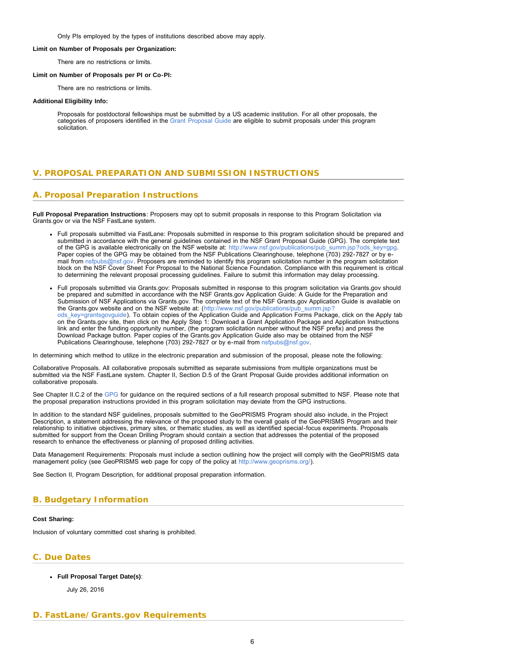Only PIs employed by the types of institutions described above may apply.

#### <span id="page-5-2"></span>**Limit on Number of Proposals per Organization:**

There are no restrictions or limits.

### **Limit on Number of Proposals per PI or Co-PI:**

There are no restrictions or limits.

#### **Additional Eligibility Info:**

Proposals for postdoctoral fellowships must be submitted by a US academic institution. For all other proposals, the categories of proposers identified in the [Grant Proposal Guide](http://www.nsf.gov/pubs/policydocs/pappguide/nsf11001/gpg_1.jsp#IE) are eligible to submit proposals under this program solicitation.

## <span id="page-5-0"></span>**V. PROPOSAL PREPARATION AND SUBMISSION INSTRUCTIONS**

## **A. Proposal Preparation Instructions**

**Full Proposal Preparation Instructions**: Proposers may opt to submit proposals in response to this Program Solicitation via Grants.gov or via the NSF FastLane system.

- Full proposals submitted via FastLane: Proposals submitted in response to this program solicitation should be prepared and submitted in accordance with the general guidelines contained in the NSF Grant Proposal Guide (GPG). The complete text of the GPG is available electronically on the NSF website at: [http://www.nsf.gov/publications/pub\\_summ.jsp?ods\\_key=gpg.](http://www.nsf.gov/publications/pub_summ.jsp?ods_key=gpg) Paper copies of the GPG may be obtained from the NSF Publications Clearinghouse, telephone (703) 292-7827 or by email from [nsfpubs@nsf.gov.](mailto:nsfpubs@nsf.gov) Proposers are reminded to identify this program solicitation number in the program solicitation block on the NSF Cover Sheet For Proposal to the National Science Foundation. Compliance with this requirement is critical to determining the relevant proposal processing guidelines. Failure to submit this information may delay processing.
- Full proposals submitted via Grants.gov: Proposals submitted in response to this program solicitation via Grants.gov should be prepared and submitted in accordance with the NSF Grants.gov Application Guide: A Guide for the Preparation and Submission of NSF Applications via Grants.gov. The complete text of the NSF Grants.gov Application Guide is available on the Grants.gov website and on the NSF website at: ([http://www.nsf.gov/publications/pub\\_summ.jsp?](http://www.nsf.gov/publications/pub_summ.jsp?ods_key=grantsgovguide) [ods\\_key=grantsgovguide\)](http://www.nsf.gov/publications/pub_summ.jsp?ods_key=grantsgovguide). To obtain copies of the Application Guide and Application Forms Package, click on the Apply tab on the Grants.gov site, then click on the Apply Step 1: Download a Grant Application Package and Application Instructions link and enter the funding opportunity number, (the program solicitation number without the NSF prefix) and press the Download Package button. Paper copies of the Grants.gov Application Guide also may be obtained from the NSF Publications Clearinghouse, telephone (703) 292-7827 or by e-mail from [nsfpubs@nsf.gov.](mailto:nsfpubs@nsf.gov)

In determining which method to utilize in the electronic preparation and submission of the proposal, please note the following:

Collaborative Proposals. All collaborative proposals submitted as separate submissions from multiple organizations must be submitted via the NSF FastLane system. Chapter II, Section D.5 of the Grant Proposal Guide provides additional information on collaborative proposals.

See Chapter II.C.2 of the [GPG](http://www.nsf.gov/publications/pub_summ.jsp?ods_key=gpg) for guidance on the required sections of a full research proposal submitted to NSF. Please note that the proposal preparation instructions provided in this program solicitation may deviate from the GPG instructions.

In addition to the standard NSF guidelines, proposals submitted to the GeoPRISMS Program should also include, in the Project Description, a statement addressing the relevance of the proposed study to the overall goals of the GeoPRISMS Program and their relationship to initiative objectives, primary sites, or thematic studies, as well as identified special-focus experiments. Proposals submitted for support from the Ocean Drilling Program should contain a section that addresses the potential of the proposed research to enhance the effectiveness or planning of proposed drilling activities.

Data Management Requirements: Proposals must include a section outlining how the project will comply with the GeoPRISMS data management policy (see GeoPRISMS web page for copy of the policy at [http://www.geoprisms.org/\)](http://www.nsf.gov/cgi-bin/goodbye?http://www.geoprisms.org/).

See Section II, Program Description, for additional proposal preparation information.

## <span id="page-5-1"></span>**B. Budgetary Information**

### **Cost Sharing:**

Inclusion of voluntary committed cost sharing is prohibited.

## <span id="page-5-3"></span>**C. Due Dates**

### **Full Proposal Target Date(s)**:

July 26, 2016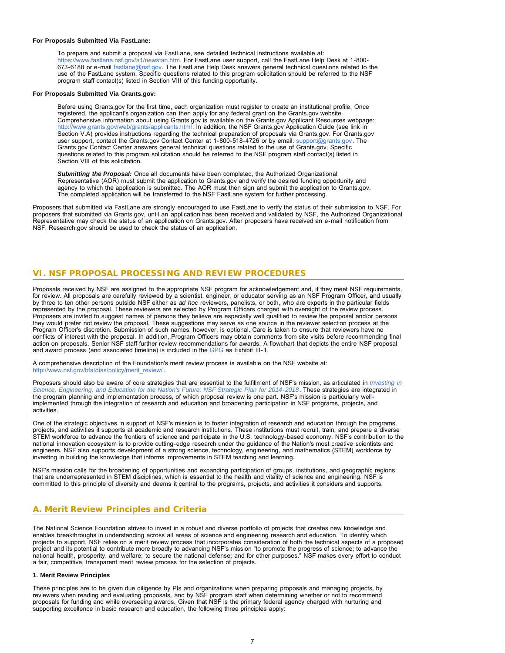#### **For Proposals Submitted Via FastLane:**

To prepare and submit a proposal via FastLane, see detailed technical instructions available at: [https://www.fastlane.nsf.gov/a1/newstan.htm.](https://www.fastlane.nsf.gov/a1/newstan.htm) For FastLane user support, call the FastLane Help Desk at 1-800- 673-6188 or e-mail [fastlane@nsf.gov.](mailto:fastlane@nsf.gov) The FastLane Help Desk answers general technical questions related to the use of the FastLane system. Specific questions related to this program solicitation should be referred to the NSF program staff contact(s) listed in Section VIII of this funding opportunity.

#### **For Proposals Submitted Via Grants.gov:**

Before using Grants.gov for the first time, each organization must register to create an institutional profile. Once registered, the applicant's organization can then apply for any federal grant on the Grants.gov website. Comprehensive information about using Grants.gov is available on the Grants.gov Applicant Resources webpage: [http://www.grants.gov/web/grants/applicants.html.](http://www.grants.gov/web/grants/applicants.html) In addition, the NSF Grants.gov Application Guide (see link in Section V.A) provides instructions regarding the technical preparation of proposals via Grants.gov. For Grants.gov user support, contact the Grants.gov Contact Center at 1-800-518-4726 or by email: [support@grants.gov](mailto:support@grants.gov). The Grants.gov Contact Center answers general technical questions related to the use of Grants.gov. Specific questions related to this program solicitation should be referred to the NSF program staff contact(s) listed in Section VIII of this solicitation.

*Submitting the Proposal:* Once all documents have been completed, the Authorized Organizational Representative (AOR) must submit the application to Grants.gov and verify the desired funding opportunity and agency to which the application is submitted. The AOR must then sign and submit the application to Grants.gov. The completed application will be transferred to the NSF FastLane system for further processing.

Proposers that submitted via FastLane are strongly encouraged to use FastLane to verify the status of their submission to NSF. For proposers that submitted via Grants.gov, until an application has been received and validated by NSF, the Authorized Organizational Representative may check the status of an application on Grants.gov. After proposers have received an e-mail notification from NSF, Research.gov should be used to check the status of an application.

### <span id="page-6-0"></span>**VI. NSF PROPOSAL PROCESSING AND REVIEW PROCEDURES**

Proposals received by NSF are assigned to the appropriate NSF program for acknowledgement and, if they meet NSF requirements, for review. All proposals are carefully reviewed by a scientist, engineer, or educator serving as an NSF Program Officer, and usually by three to ten other persons outside NSF either as *ad hoc* reviewers, panelists, or both, who are experts in the particular fields represented by the proposal. These reviewers are selected by Program Officers charged with oversight of the review process. Proposers are invited to suggest names of persons they believe are especially well qualified to review the proposal and/or persons they would prefer not review the proposal. These suggestions may serve as one source in the reviewer selection process at the Program Officer's discretion. Submission of such names, however, is optional. Care is taken to ensure that reviewers have no conflicts of interest with the proposal. In addition, Program Officers may obtain comments from site visits before recommending final action on proposals. Senior NSF staff further review recommendations for awards. A flowchart that depicts the entire NSF proposal and award process (and associated timeline) is included in the [GPG](http://www.nsf.gov/publications/pub_summ.jsp?ods_key=gpg) as Exhibit III-1.

A comprehensive description of the Foundation's merit review process is available on the NSF website at: [http://www.nsf.gov/bfa/dias/policy/merit\\_review/](http://www.nsf.gov/bfa/dias/policy/merit_review/).

Proposers should also be aware of core strategies that are essential to the fulfillment of NSF's mission, as articulated in *[Investing in](http://www.nsf.gov/publications/pub_summ.jsp?ods_key=nsf14043) [Science, Engineering, and Education for the Nation's Future: NSF Strategic Plan for 2014-2018](http://www.nsf.gov/publications/pub_summ.jsp?ods_key=nsf14043)*. These strategies are integrated in the program planning and implementation process, of which proposal review is one part. NSF's mission is particularly wellimplemented through the integration of research and education and broadening participation in NSF programs, projects, and activities.

One of the strategic objectives in support of NSF's mission is to foster integration of research and education through the programs, projects, and activities it supports at academic and research institutions. These institutions must recruit, train, and prepare a diverse STEM workforce to advance the frontiers of science and participate in the U.S. technology-based economy. NSF's contribution to the national innovation ecosystem is to provide cutting-edge research under the guidance of the Nation's most creative scientists and engineers. NSF also supports development of a strong science, technology, engineering, and mathematics (STEM) workforce by investing in building the knowledge that informs improvements in STEM teaching and learning.

NSF's mission calls for the broadening of opportunities and expanding participation of groups, institutions, and geographic regions that are underrepresented in STEM disciplines, which is essential to the health and vitality of science and engineering. NSF is committed to this principle of diversity and deems it central to the programs, projects, and activities it considers and supports.

### <span id="page-6-1"></span>**A. Merit Review Principles and Criteria**

The National Science Foundation strives to invest in a robust and diverse portfolio of projects that creates new knowledge and enables breakthroughs in understanding across all areas of science and engineering research and education. To identify which projects to support, NSF relies on a merit review process that incorporates consideration of both the technical aspects of a proposed project and its potential to contribute more broadly to advancing NSF's mission "to promote the progress of science; to advance the national health, prosperity, and welfare; to secure the national defense; and for other purposes." NSF makes every effort to conduct a fair, competitive, transparent merit review process for the selection of projects.

### **1. Merit Review Principles**

These principles are to be given due diligence by PIs and organizations when preparing proposals and managing projects, by reviewers when reading and evaluating proposals, and by NSF program staff when determining whether or not to recommend proposals for funding and while overseeing awards. Given that NSF is the primary federal agency charged with nurturing and supporting excellence in basic research and education, the following three principles apply: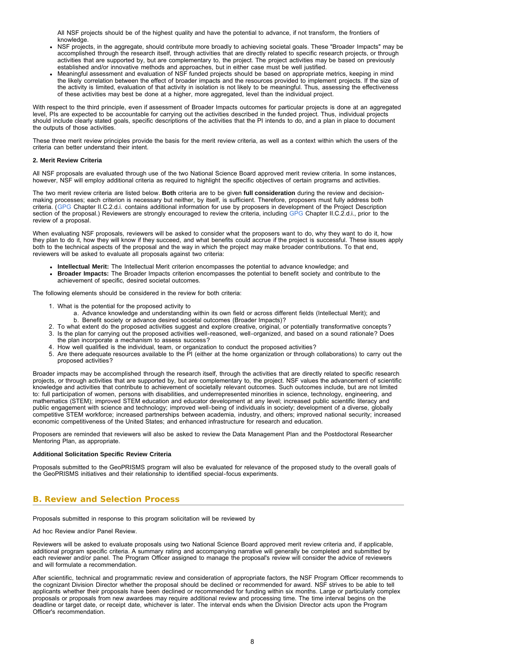All NSF projects should be of the highest quality and have the potential to advance, if not transform, the frontiers of knowledge

- NSF projects, in the aggregate, should contribute more broadly to achieving societal goals. These "Broader Impacts" may be accomplished through the research itself, through activities that are directly related to specific research projects, or through activities that are supported by, but are complementary to, the project. The project activities may be based on previously established and/or innovative methods and approaches, but in either case must be well justified.
- Meaningful assessment and evaluation of NSF funded projects should be based on appropriate metrics, keeping in mind the likely correlation between the effect of broader impacts and the resources provided to implement projects. If the size of the activity is limited, evaluation of that activity in isolation is not likely to be meaningful. Thus, assessing the effectiveness of these activities may best be done at a higher, more aggregated, level than the individual project.

With respect to the third principle, even if assessment of Broader Impacts outcomes for particular projects is done at an aggregated level, PIs are expected to be accountable for carrying out the activities described in the funded project. Thus, individual projects should include clearly stated goals, specific descriptions of the activities that the PI intends to do, and a plan in place to document the outputs of those activities.

These three merit review principles provide the basis for the merit review criteria, as well as a context within which the users of the criteria can better understand their intent.

### **2. Merit Review Criteria**

All NSF proposals are evaluated through use of the two National Science Board approved merit review criteria. In some instances, however, NSF will employ additional criteria as required to highlight the specific objectives of certain programs and activities.

The two merit review criteria are listed below. **Both** criteria are to be given **full consideration** during the review and decisionmaking processes; each criterion is necessary but neither, by itself, is sufficient. Therefore, proposers must fully address both criteria. ([GPG](http://www.nsf.gov/publications/pub_summ.jsp?ods_key=gpg) Chapter II.C.2.d.i. contains additional information for use by proposers in development of the Project Description section of the proposal.) Reviewers are strongly encouraged to review the criteria, including [GPG](http://www.nsf.gov/publications/pub_summ.jsp?ods_key=gpg) Chapter II.C.2.d.i., prior to the review of a proposal.

When evaluating NSF proposals, reviewers will be asked to consider what the proposers want to do, why they want to do it, how they plan to do it, how they will know if they succeed, and what benefits could accrue if the project is successful. These issues apply both to the technical aspects of the proposal and the way in which the project may make broader contributions. To that end, reviewers will be asked to evaluate all proposals against two criteria:

- **Intellectual Merit:** The Intellectual Merit criterion encompasses the potential to advance knowledge; and
- **Broader Impacts:** The Broader Impacts criterion encompasses the potential to benefit society and contribute to the achievement of specific, desired societal outcomes.

The following elements should be considered in the review for both criteria:

- 1. What is the potential for the proposed activity to
	- a. Advance knowledge and understanding within its own field or across different fields (Intellectual Merit); and b. Benefit society or advance desired societal outcomes (Broader Impacts)?
- 2. To what extent do the proposed activities suggest and explore creative, original, or potentially transformative concepts?
- 3. Is the plan for carrying out the proposed activities well-reasoned, well-organized, and based on a sound rationale? Does the plan incorporate a mechanism to assess success?
- 4. How well qualified is the individual, team, or organization to conduct the proposed activities?
- 5. Are there adequate resources available to the PI (either at the home organization or through collaborations) to carry out the proposed activities?

Broader impacts may be accomplished through the research itself, through the activities that are directly related to specific research projects, or through activities that are supported by, but are complementary to, the project. NSF values the advancement of scientific knowledge and activities that contribute to achievement of societally relevant outcomes. Such outcomes include, but are not limited to: full participation of women, persons with disabilities, and underrepresented minorities in science, technology, engineering, and mathematics (STEM); improved STEM education and educator development at any level; increased public scientific literacy and public engagement with science and technology; improved well-being of individuals in society; development of a diverse, globally competitive STEM workforce; increased partnerships between academia, industry, and others; improved national security; increased economic competitiveness of the United States; and enhanced infrastructure for research and education.

Proposers are reminded that reviewers will also be asked to review the Data Management Plan and the Postdoctoral Researcher Mentoring Plan, as appropriate.

### **Additional Solicitation Specific Review Criteria**

Proposals submitted to the GeoPRISMS program will also be evaluated for relevance of the proposed study to the overall goals of the GeoPRISMS initiatives and their relationship to identified special-focus experiments.

## <span id="page-7-0"></span>**B. Review and Selection Process**

Proposals submitted in response to this program solicitation will be reviewed by

Ad hoc Review and/or Panel Review.

Reviewers will be asked to evaluate proposals using two National Science Board approved merit review criteria and, if applicable, additional program specific criteria. A summary rating and accompanying narrative will generally be completed and submitted by each reviewer and/or panel. The Program Officer assigned to manage the proposal's review will consider the advice of reviewers and will formulate a recommendation.

After scientific, technical and programmatic review and consideration of appropriate factors, the NSF Program Officer recommends to the cognizant Division Director whether the proposal should be declined or recommended for award. NSF strives to be able to tell applicants whether their proposals have been declined or recommended for funding within six months. Large or particularly complex proposals or proposals from new awardees may require additional review and processing time. The time interval begins on the deadline or target date, or receipt date, whichever is later. The interval ends when the Division Director acts upon the Program Officer's recommendation.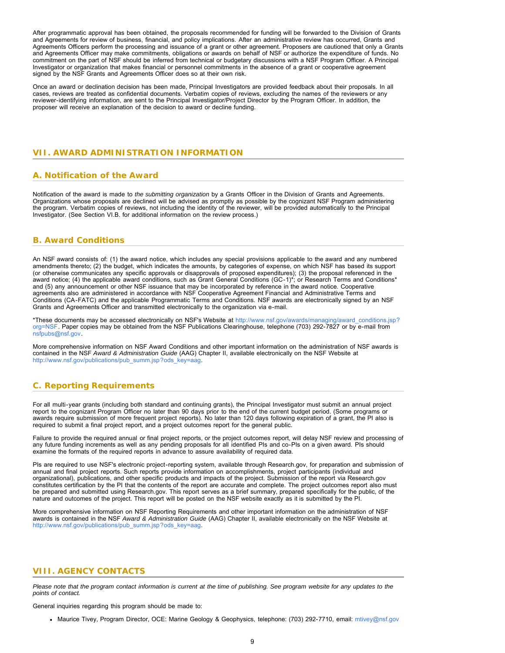After programmatic approval has been obtained, the proposals recommended for funding will be forwarded to the Division of Grants and Agreements for review of business, financial, and policy implications. After an administrative review has occurred, Grants and Agreements Officers perform the processing and issuance of a grant or other agreement. Proposers are cautioned that only a Grants and Agreements Officer may make commitments, obligations or awards on behalf of NSF or authorize the expenditure of funds. No commitment on the part of NSF should be inferred from technical or budgetary discussions with a NSF Program Officer. A Principal Investigator or organization that makes financial or personnel commitments in the absence of a grant or cooperative agreement signed by the NSF Grants and Agreements Officer does so at their own risk.

Once an award or declination decision has been made, Principal Investigators are provided feedback about their proposals. In all cases, reviews are treated as confidential documents. Verbatim copies of reviews, excluding the names of the reviewers or any reviewer-identifying information, are sent to the Principal Investigator/Project Director by the Program Officer. In addition, the proposer will receive an explanation of the decision to award or decline funding.

### <span id="page-8-1"></span><span id="page-8-0"></span>**VII. AWARD ADMINISTRATION INFORMATION**

## **A. Notification of the Award**

Notification of the award is made to *the submitting organization* by a Grants Officer in the Division of Grants and Agreements. Organizations whose proposals are declined will be advised as promptly as possible by the cognizant NSF Program administering the program. Verbatim copies of reviews, not including the identity of the reviewer, will be provided automatically to the Principal Investigator. (See Section VI.B. for additional information on the review process.)

## <span id="page-8-2"></span>**B. Award Conditions**

An NSF award consists of: (1) the award notice, which includes any special provisions applicable to the award and any numbered amendments thereto; (2) the budget, which indicates the amounts, by categories of expense, on which NSF has based its support (or otherwise communicates any specific approvals or disapprovals of proposed expenditures); (3) the proposal referenced in the award notice; (4) the applicable award conditions, such as Grant General Conditions (GC-1)\*; or Research Terms and Conditions\* and (5) any announcement or other NSF issuance that may be incorporated by reference in the award notice. Cooperative agreements also are administered in accordance with NSF Cooperative Agreement Financial and Administrative Terms and Conditions (CA-FATC) and the applicable Programmatic Terms and Conditions. NSF awards are electronically signed by an NSF Grants and Agreements Officer and transmitted electronically to the organization via e-mail.

\*These documents may be accessed electronically on NSF's Website at [http://www.nsf.gov/awards/managing/award\\_conditions.jsp?](http://www.nsf.gov/awards/managing/award_conditions.jsp?org=NSF) [org=NSF.](http://www.nsf.gov/awards/managing/award_conditions.jsp?org=NSF) Paper copies may be obtained from the NSF Publications Clearinghouse, telephone (703) 292-7827 or by e-mail from [nsfpubs@nsf.gov.](mailto:nsfpubs@nsf.gov)

More comprehensive information on NSF Award Conditions and other important information on the administration of NSF awards is contained in the NSF *Award & Administration Guide* (AAG) Chapter II, available electronically on the NSF Website at [http://www.nsf.gov/publications/pub\\_summ.jsp?ods\\_key=aag.](http://www.nsf.gov/publications/pub_summ.jsp?ods_key=aag)

## <span id="page-8-3"></span>**C. Reporting Requirements**

For all multi-year grants (including both standard and continuing grants), the Principal Investigator must submit an annual project report to the cognizant Program Officer no later than 90 days prior to the end of the current budget period. (Some programs or awards require submission of more frequent project reports). No later than 120 days following expiration of a grant, the PI also is required to submit a final project report, and a project outcomes report for the general public.

Failure to provide the required annual or final project reports, or the project outcomes report, will delay NSF review and processing of any future funding increments as well as any pending proposals for all identified PIs and co-PIs on a given award. PIs should examine the formats of the required reports in advance to assure availability of required data.

PIs are required to use NSF's electronic project-reporting system, available through Research.gov, for preparation and submission of annual and final project reports. Such reports provide information on accomplishments, project participants (individual and organizational), publications, and other specific products and impacts of the project. Submission of the report via Research.gov constitutes certification by the PI that the contents of the report are accurate and complete. The project outcomes report also must be prepared and submitted using Research.gov. This report serves as a brief summary, prepared specifically for the public, of the nature and outcomes of the project. This report will be posted on the NSF website exactly as it is submitted by the PI.

<span id="page-8-4"></span>More comprehensive information on NSF Reporting Requirements and other important information on the administration of NSF awards is contained in the NSF *Award & Administration Guide* (AAG) Chapter II, available electronically on the NSF Website at [http://www.nsf.gov/publications/pub\\_summ.jsp?ods\\_key=aag.](http://www.nsf.gov/publications/pub_summ.jsp?ods_key=aag)

### **VIII. AGENCY CONTACTS**

*Please note that the program contact information is current at the time of publishing. See program website for any updates to the points of contact.*

General inquiries regarding this program should be made to:

Maurice Tivey, Program Director, OCE: Marine Geology & Geophysics, telephone: (703) 292-7710, email: [mtivey@nsf.gov](mailto:mtivey@nsf.gov)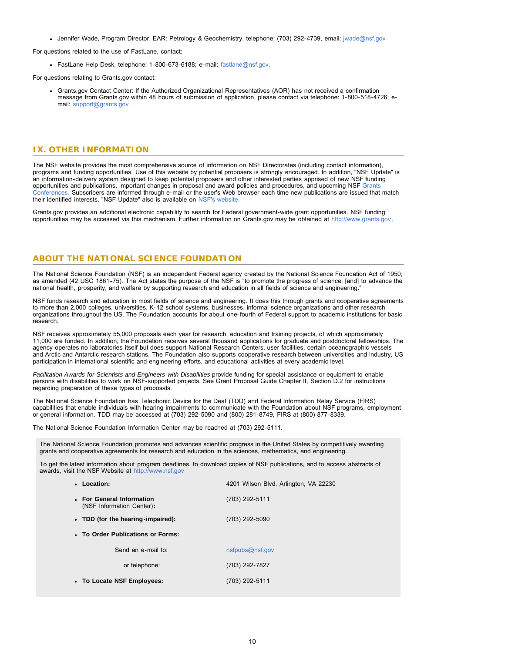• Jennifer Wade, Program Director, EAR: Petrology & Geochemistry, telephone: (703) 292-4739, email: [jwade@nsf.gov](mailto:jwade@nsf.gov)

For questions related to the use of FastLane, contact:

FastLane Help Desk, telephone: 1-800-673-6188; e-mail: [fastlane@nsf.gov.](mailto:fastlane@nsf.gov)

For questions relating to Grants.gov contact:

Grants.gov Contact Center: If the Authorized Organizational Representatives (AOR) has not received a confirmation message from Grants.gov within 48 hours of submission of application, please contact via telephone: 1-800-518-4726; email: [support@grants.gov.](mailto:support@grants.gov)

### <span id="page-9-0"></span>**IX. OTHER INFORMATION**

The NSF website provides the most comprehensive source of information on NSF Directorates (including contact information), programs and funding opportunities. Use of this website by potential proposers is strongly encouraged. In addition, "NSF Update" is an information-delivery system designed to keep potential proposers and other interested parties apprised of new NSF funding opportunities and publications, important changes in proposal and award policies and procedures, and upcoming NSF [Grants](http://www.nsf.gov/bfa/dias/policy/outreach.jsp) [Conferences.](http://www.nsf.gov/bfa/dias/policy/outreach.jsp) Subscribers are informed through e-mail or the user's Web browser each time new publications are issued that match their identified interests. "NSF Update" also is available on [NSF's website.](https://www.nsf.gov/cgi-bin/goodbye?https://public.govdelivery.com/accounts/USNSF/subscriber/new?topic_id=USNSF_179)

Grants.gov provides an additional electronic capability to search for Federal government-wide grant opportunities. NSF funding opportunities may be accessed via this mechanism. Further information on Grants.gov may be obtained at [http://www.grants.gov.](http://www.grants.gov/)

## **ABOUT THE NATIONAL SCIENCE FOUNDATION**

The National Science Foundation (NSF) is an independent Federal agency created by the National Science Foundation Act of 1950, as amended (42 USC 1861-75). The Act states the purpose of the NSF is "to promote the progress of science; [and] to advance the national health, prosperity, and welfare by supporting research and education in all fields of science and engineering."

NSF funds research and education in most fields of science and engineering. It does this through grants and cooperative agreements to more than 2,000 colleges, universities, K-12 school systems, businesses, informal science organizations and other research organizations throughout the US. The Foundation accounts for about one-fourth of Federal support to academic institutions for basic research.

NSF receives approximately 55,000 proposals each year for research, education and training projects, of which approximately 11,000 are funded. In addition, the Foundation receives several thousand applications for graduate and postdoctoral fellowships. The agency operates no laboratories itself but does support National Research Centers, user facilities, certain oceanographic vessels and Arctic and Antarctic research stations. The Foundation also supports cooperative research between universities and industry, US participation in international scientific and engineering efforts, and educational activities at every academic level.

*Facilitation Awards for Scientists and Engineers with Disabilities* provide funding for special assistance or equipment to enable persons with disabilities to work on NSF-supported projects. See Grant Proposal Guide Chapter II, Section D.2 for instructions regarding preparation of these types of proposals.

The National Science Foundation has Telephonic Device for the Deaf (TDD) and Federal Information Relay Service (FIRS) capabilities that enable individuals with hearing impairments to communicate with the Foundation about NSF programs, employment or general information. TDD may be accessed at (703) 292-5090 and (800) 281-8749, FIRS at (800) 877-8339.

The National Science Foundation Information Center may be reached at (703) 292-5111.

The National Science Foundation promotes and advances scientific progress in the United States by competitively awarding grants and cooperative agreements for research and education in the sciences, mathematics, and engineering.

To get the latest information about program deadlines, to download copies of NSF publications, and to access abstracts of awards, visit the NSF Website at [http://www.nsf.gov](http://www.nsf.gov/)

| • Location:                                            | 4201 Wilson Blvd. Arlington, VA 22230 |  |  |  |  |  |  |  |
|--------------------------------------------------------|---------------------------------------|--|--|--|--|--|--|--|
| • For General Information<br>(NSF Information Center): | (703) 292-5111                        |  |  |  |  |  |  |  |
| • TDD (for the hearing-impaired):                      | (703) 292-5090                        |  |  |  |  |  |  |  |
| • To Order Publications or Forms:                      |                                       |  |  |  |  |  |  |  |
| Send an e-mail to:                                     | nsfpubs@nsf.gov                       |  |  |  |  |  |  |  |
| or telephone:                                          | (703) 292-7827                        |  |  |  |  |  |  |  |
| • To Locate NSF Employees:                             | (703) 292-5111                        |  |  |  |  |  |  |  |